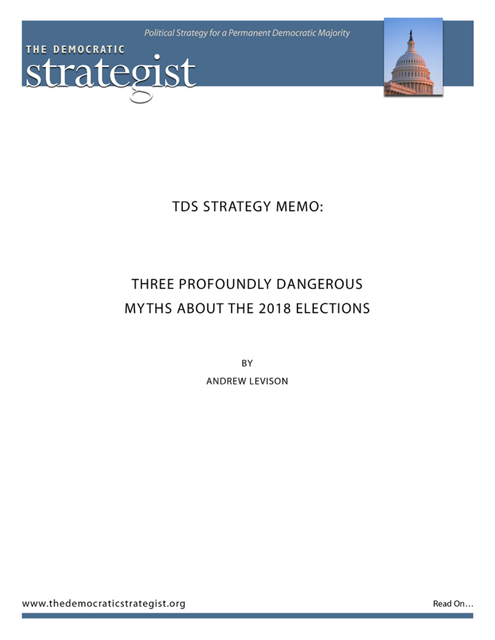Political Strategy for a Permanent Democratic Majority





**TDS STRATEGY MEMO:** 

# THREE PROFOUNDLY DANGEROUS MYTHS ABOUT THE 2018 ELECTIONS

ΒY

ANDREW LEVISON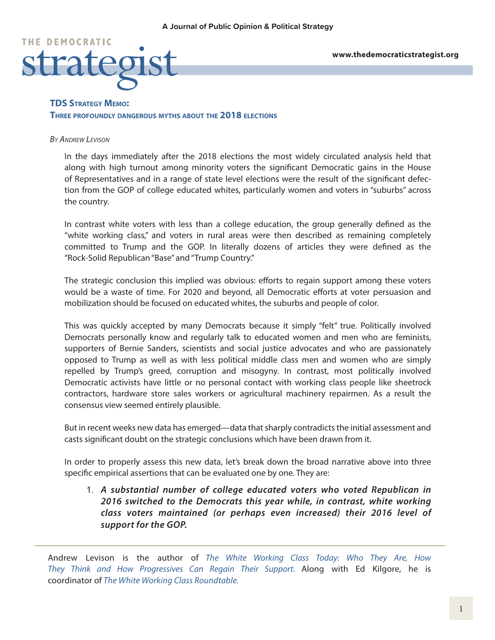

# **TDS Strategy Memo: Three profoundly dangerous myths about the 2018 elections**

#### *By Andrew Levison*

In the days immediately after the 2018 elections the most widely circulated analysis held that along with high turnout among minority voters the significant Democratic gains in the House of Representatives and in a range of state level elections were the result of the significant defection from the GOP of college educated whites, particularly women and voters in "suburbs" across the country.

In contrast white voters with less than a college education, the group generally defined as the "white working class," and voters in rural areas were then described as remaining completely committed to Trump and the GOP. In literally dozens of articles they were defined as the "Rock-Solid Republican "Base" and "Trump Country."

The strategic conclusion this implied was obvious: efforts to regain support among these voters would be a waste of time. For 2020 and beyond, all Democratic efforts at voter persuasion and mobilization should be focused on educated whites, the suburbs and people of color.

This was quickly accepted by many Democrats because it simply "felt" true. Politically involved Democrats personally know and regularly talk to educated women and men who are feminists, supporters of Bernie Sanders, scientists and social justice advocates and who are passionately opposed to Trump as well as with less political middle class men and women who are simply repelled by Trump's greed, corruption and misogyny. In contrast, most politically involved Democratic activists have little or no personal contact with working class people like sheetrock contractors, hardware store sales workers or agricultural machinery repairmen. As a result the consensus view seemed entirely plausible.

But in recent weeks new data has emerged—data that sharply contradicts the initial assessment and casts significant doubt on the strategic conclusions which have been drawn from it.

In order to properly assess this new data, let's break down the broad narrative above into three specific empirical assertions that can be evaluated one by one. They are:

1. *A substantial number of college educated voters who voted Republican in 2016 switched to the Democrats this year while, in contrast, white working class voters maintained (or perhaps even increased) their 2016 level of support for the GOP.* 

Andrew Levison is the author of *[The White Working Class Today: Who They Are, How](http://thewhiteworkingclasstoday.com/) [They Think and How Progressives Can Regain Their Support.](http://thewhiteworkingclasstoday.com/)* Along with Ed Kilgore, he is coordinator of *[The White Working Class Roundtable](http://whiteworkingclassroundtable.com/).*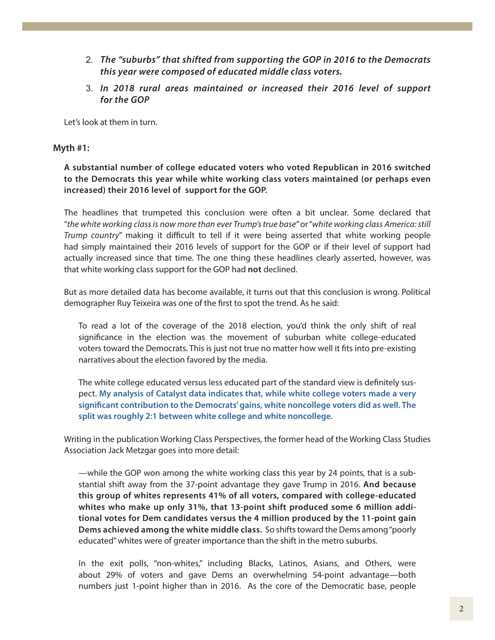- 2. *The "suburbs" that shifted from supporting the GOP in 2016 to the Democrats this year were composed of educated middle class voters.*
- 3. *In 2018 rural areas maintained or increased their 2016 level of support for the GOP*

Let's look at them in turn.

# **Myth #1:**

**A substantial number of college educated voters who voted Republican in 2016 switched to the Democrats this year while white working class voters maintained (or perhaps even increased) their 2016 level of support for the GOP.** 

The headlines that trumpeted this conclusion were often a bit unclear. Some declared that "*the white working class is now more than ever Trump's true base*" or "*white working class America: still Trump country*" making it difficult to tell if it were being asserted that white working people had simply maintained their 2016 levels of support for the GOP or if their level of support had actually increased since that time. The one thing these headlines clearly asserted, however, was that white working class support for the GOP had **not** declined.

But as more detailed data has become available, it turns out that this conclusion is wrong. Political demographer Ruy Teixeira was one of the first to spot the trend. As he said:

To read a lot of the coverage of the 2018 election, you'd think the only shift of real significance in the election was the movement of suburban white college-educated voters toward the Democrats. This is just not true no matter how well it fits into pre-existing narratives about the election favored by the media.

The white college educated versus less educated part of the standard view is definitely suspect. **[My analysis of Catalyst data indicates that, while white college voters made a very](http://www.theoptimisticleftist.com/2018/11/correcting-record-on-2018-election.html)  [significant contribution to the Democrats' gains, white noncollege voters did as well. The](http://www.theoptimisticleftist.com/2018/11/correcting-record-on-2018-election.html)  [split was roughly 2:1 between white college and white noncollege.](http://www.theoptimisticleftist.com/2018/11/correcting-record-on-2018-election.html)**

Writing in the publication Working Class Perspectives, the former head of the Working Class Studies Association Jack Metzgar goes into more detail:

—while the GOP won among the white working class this year by 24 points, that is a substantial shift away from the 37-point advantage they gave Trump in 2016. **And because this group of whites represents 41% of all voters, compared with college-educated whites who make up only 31%, that 13-point shift produced some 6 million additional votes for Dem candidates versus the 4 million produced by the 11-point gain Dems achieved among the white middle class.** So shifts toward the Dems among "poorly educated" whites were of greater importance than the shift in the metro suburbs.

In the exit polls, "non-whites," including Blacks, Latinos, Asians, and Others, were about 29% of voters and gave Dems an overwhelming 54-point advantage—both numbers just 1-point higher than in 2016. As the core of the Democratic base, people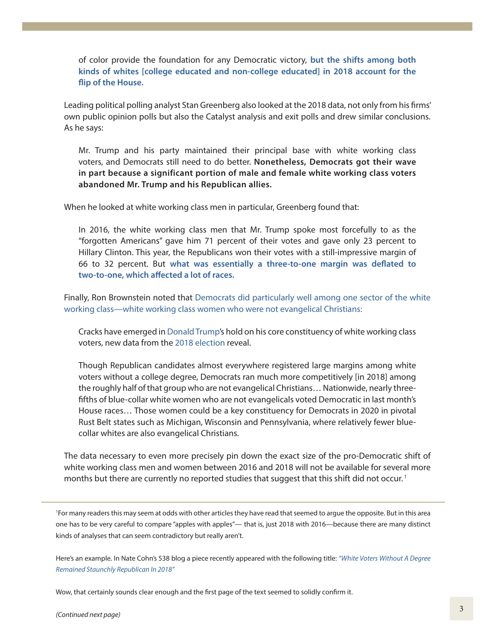of color provide the foundation for any Democratic victory, **[but the shifts among both](https://workingclassstudies.wordpress.com/2018/11/26/class-prejudice-and-the-democrats-blue-wave/) [kinds of whites \[college educated and non-college educated\] in 2018 account for the](https://workingclassstudies.wordpress.com/2018/11/26/class-prejudice-and-the-democrats-blue-wave/) [flip of the House.](https://workingclassstudies.wordpress.com/2018/11/26/class-prejudice-and-the-democrats-blue-wave/)**

Leading political polling analyst Stan Greenberg also looked at the 2018 data, not only from his firms' own public opinion polls but also the Catalyst analysis and exit polls and drew similar conclusions. As he says:

Mr. Trump and his party maintained their principal base with white working class voters, and Democrats still need to do better. **Nonetheless, Democrats got their wave in part because a significant portion of male and female white working class voters abandoned Mr. Trump and his Republican allies.**

When he looked at white working class men in particular, Greenberg found that:

In 2016, the white working class men that Mr. Trump spoke most forcefully to as the "forgotten Americans" gave him 71 percent of their votes and gave only 23 percent to Hillary Clinton. This year, the Republicans won their votes with a still-impressive margin of 66 to 32 percent. But **[what was essentially a three-to-one margin was deflated to](https://www.nytimes.com/2018/11/17/opinion/sunday/trump-is-beginning-to-lose-his-grip.html?rref=collection%2Fsectioncollection%2Fopinion&action=click&contentCollection=opinion®ion=stream&module=stream_unit&version=latest&contentPlacement=8&pgtype=sectionfront) [two-to-one, which affected a lot of races.](https://www.nytimes.com/2018/11/17/opinion/sunday/trump-is-beginning-to-lose-his-grip.html?rref=collection%2Fsectioncollection%2Fopinion&action=click&contentCollection=opinion®ion=stream&module=stream_unit&version=latest&contentPlacement=8&pgtype=sectionfront)**

Finally, Ron Brownstein noted that [Democrats did particularly well among one sector of the white](https://www.cnn.com/2018/12/11/politics/the-foundation-of-trumps-coalition-is-cracking/index.html)  [working class—white working class women who were not evangelical Christians:](https://www.cnn.com/2018/12/11/politics/the-foundation-of-trumps-coalition-is-cracking/index.html)

Cracks have emerged in [Donald Trump'](https://www.cnn.com/specials/politics/president-donald-trump-45)s hold on his core constituency of white working class voters, new data from the [2018 election](https://www.cnn.com/2018/11/06/politics/2018-election-updates/index.html) reveal.

Though Republican candidates almost everywhere registered large margins among white voters without a college degree, Democrats ran much more competitively [in 2018] among the roughly half of that group who are not evangelical Christians… Nationwide, nearly threefifths of blue-collar white women who are not evangelicals voted Democratic in last month's House races… Those women could be a key constituency for Democrats in 2020 in pivotal Rust Belt states such as Michigan, Wisconsin and Pennsylvania, where relatively fewer bluecollar whites are also evangelical Christians.

The data necessary to even more precisely pin down the exact size of the pro-Democratic shift of white working class men and women between 2016 and 2018 will not be available for several more months but there are currently no reported studies that suggest that this shift did not occur.<sup>1</sup>

1 For many readers this may seem at odds with other articles they have read that seemed to argue the opposite. But in this area one has to be very careful to compare "apples with apples"— that is, just 2018 with 2016—because there are many distinct kinds of analyses that can seem contradictory but really aren't.

Here's an example. In Nate Cohn's 538 blog a piece recently appeared with the following title: *["White Voters Without A Degree](https://fivethirtyeight.com/features/white-voters-without-a-degree-remained-staunchly-republican-in-2018/)  [Remained Staunchly Republican In 2018"](https://fivethirtyeight.com/features/white-voters-without-a-degree-remained-staunchly-republican-in-2018/)*

Wow, that certainly sounds clear enough and the first page of the text seemed to solidly confirm it.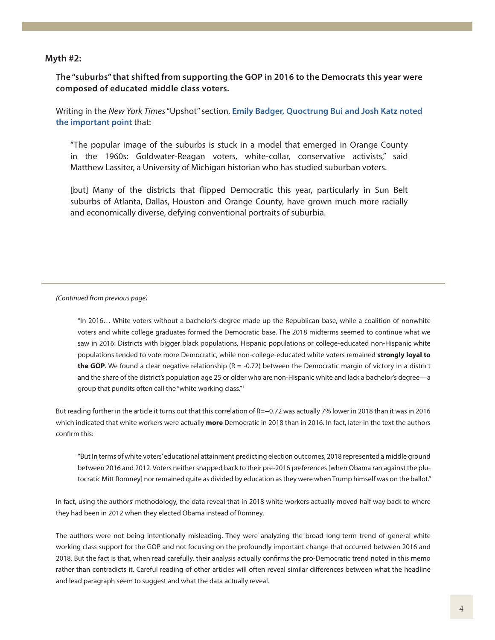#### **Myth #2:**

**The "suburbs" that shifted from supporting the GOP in 2016 to the Democrats this year were composed of educated middle class voters.**

Writing in the *New York Times* "Upshot" section, **[Emily Badger, Quoctrung Bui and Josh Katz noted](https://www.nytimes.com/2018/11/26/upshot/suburbs-changing-midterms-democrats-hopes.html)  [the important point](https://www.nytimes.com/2018/11/26/upshot/suburbs-changing-midterms-democrats-hopes.html)** that:

"The popular image of the suburbs is stuck in a model that emerged in Orange County in the 1960s: Goldwater-Reagan voters, white-collar, conservative activists," said Matthew Lassiter, a University of Michigan historian who has studied suburban voters.

[but] Many of the districts that flipped Democratic this year, particularly in Sun Belt suburbs of Atlanta, Dallas, Houston and Orange County, have grown much more racially and economically diverse, defying conventional portraits of suburbia.

#### *(Continued from previous page)*

"In 2016… White voters without a bachelor's degree made up the Republican base, while a coalition of nonwhite voters and white college graduates formed the Democratic base. The 2018 midterms seemed to continue what we saw in 2016: Districts with bigger black populations, Hispanic populations or college-educated non-Hispanic white populations tended to vote more Democratic, while non-college-educated white voters remained **strongly loyal to the GOP**. We found a clear negative relationship (R = -0.72) between the Democratic margin of victory in a district and the share of the district's population age 25 or older who are non-Hispanic white and lack a bachelor's degree—a group that pundits often call the "white working class."1

But reading further in the article it turns out that this correlation of R=--0.72 was actually 7% lower in 2018 than it was in 2016 which indicated that white workers were actually **more** Democratic in 2018 than in 2016. In fact, later in the text the authors confirm this:

"But In terms of white voters' educational attainment predicting election outcomes, 2018 represented a middle ground between 2016 and 2012. Voters neither snapped back to their pre-2016 preferences [when Obama ran against the plutocratic Mitt Romney] nor remained quite as divided by education as they were when Trump himself was on the ballot."

In fact, using the authors' methodology, the data reveal that in 2018 white workers actually moved half way back to where they had been in 2012 when they elected Obama instead of Romney.

The authors were not being intentionally misleading. They were analyzing the broad long-term trend of general white working class support for the GOP and not focusing on the profoundly important change that occurred between 2016 and 2018. But the fact is that, when read carefully, their analysis actually confirms the pro-Democratic trend noted in this memo rather than contradicts it. Careful reading of other articles will often reveal similar differences between what the headline and lead paragraph seem to suggest and what the data actually reveal.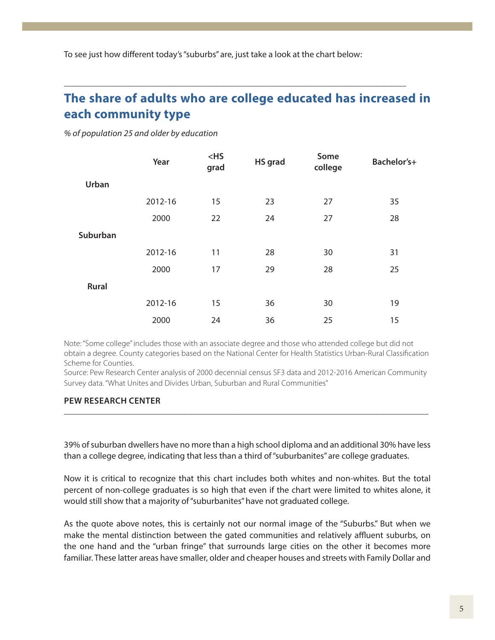To see just how different today's "suburbs" are, just take a look at the chart below:

# **[The share of adults who are college educated has increased in](http://www.pewsocialtrends.org/2018/05/22/demographic-and-economic-trends-in-urban-suburban-and-rural-communities/)  [each community type](http://www.pewsocialtrends.org/2018/05/22/demographic-and-economic-trends-in-urban-suburban-and-rural-communities/)**

**\_\_\_\_\_\_\_\_\_\_\_\_\_\_\_\_\_\_\_\_\_\_\_\_\_\_\_\_\_\_\_\_\_\_\_\_\_\_\_\_\_\_\_\_\_\_\_\_\_\_\_\_\_\_\_\_\_\_\_\_\_\_\_\_\_\_\_\_\_\_\_\_\_\_\_\_\_**

*% of population 25 and older by education*

|              | Year    | $<$ HS<br>grad | HS grad | Some<br>college | Bachelor's+ |
|--------------|---------|----------------|---------|-----------------|-------------|
| Urban        |         |                |         |                 |             |
|              | 2012-16 | 15             | 23      | 27              | 35          |
|              | 2000    | 22             | 24      | 27              | 28          |
| Suburban     |         |                |         |                 |             |
|              | 2012-16 | 11             | 28      | 30              | 31          |
|              | 2000    | 17             | 29      | 28              | 25          |
| <b>Rural</b> |         |                |         |                 |             |
|              | 2012-16 | 15             | 36      | 30              | 19          |
|              | 2000    | 24             | 36      | 25              | 15          |

Note: "Some college" includes those with an associate degree and those who attended college but did not obtain a degree. County categories based on the National Center for Health Statistics Urban-Rural Classification Scheme for Counties.

Source: Pew Research Center analysis of 2000 decennial census SF3 data and 2012-2016 American Community Survey data. "What Unites and Divides Urban, Suburban and Rural Communities"

#### **PEW RESEARCH CENTER \_\_\_\_\_\_\_\_\_\_\_\_\_\_\_\_\_\_\_\_\_\_\_\_\_\_\_\_\_\_\_\_\_\_\_\_\_\_\_\_\_\_\_\_\_\_\_\_\_\_\_\_\_\_\_\_\_\_\_\_\_\_\_\_\_\_\_\_\_\_\_\_\_\_\_\_\_\_\_\_\_\_**

39% of suburban dwellers have no more than a high school diploma and an additional 30% have less than a college degree, indicating that less than a third of "suburbanites" are college graduates.

Now it is critical to recognize that this chart includes both whites and non-whites. But the total percent of non-college graduates is so high that even if the chart were limited to whites alone, it would still show that a majority of "suburbanites" have not graduated college.

As the quote above notes, this is certainly not our normal image of the "Suburbs." But when we make the mental distinction between the gated communities and relatively affluent suburbs, on the one hand and the "urban fringe" that surrounds large cities on the other it becomes more familiar. These latter areas have smaller, older and cheaper houses and streets with Family Dollar and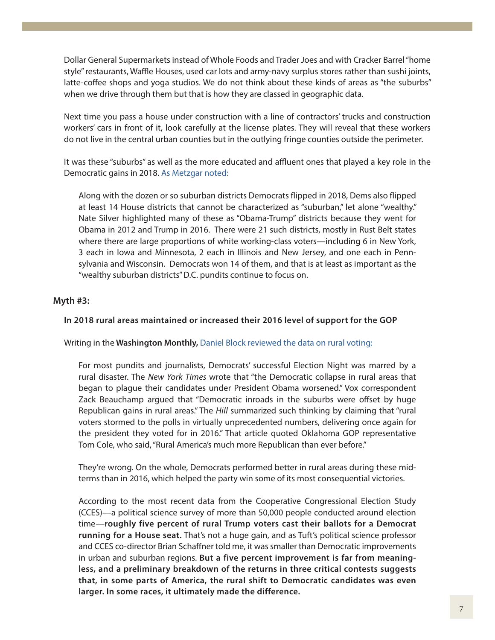Dollar General Supermarkets instead of Whole Foods and Trader Joes and with Cracker Barrel "home style" restaurants, Waffle Houses, used car lots and army-navy surplus stores rather than sushi joints, latte-coffee shops and yoga studios. We do not think about these kinds of areas as "the suburbs" when we drive through them but that is how they are classed in geographic data.

Next time you pass a house under construction with a line of contractors' trucks and construction workers' cars in front of it, look carefully at the license plates. They will reveal that these workers do not live in the central urban counties but in the outlying fringe counties outside the perimeter.

It was these "suburbs" as well as the more educated and affluent ones that played a key role in the Democratic gains in 2018[. As Metzgar noted:](https://workingclassstudies.wordpress.com/2018/11/26/class-prejudice-and-the-democrats-blue-wave/)

Along with the dozen or so suburban districts Democrats flipped in 2018, Dems also flipped at least 14 House districts that cannot be characterized as "suburban," let alone "wealthy." Nate Silver highlighted many of these as "Obama-Trump" districts because they went for Obama in 2012 and Trump in 2016. There were 21 such districts, mostly in Rust Belt states where there are large proportions of white working-class voters—including 6 in New York, 3 each in Iowa and Minnesota, 2 each in Illinois and New Jersey, and one each in Pennsylvania and Wisconsin. Democrats won 14 of them, and that is at least as important as the "wealthy suburban districts" D.C. pundits continue to focus on.

# **Myth #3:**

## **In 2018 rural areas maintained or increased their 2016 level of support for the GOP**

#### Writing in the **Washington Monthly,** [Daniel Block reviewed the data on rural voting:](https://washingtonmonthly.com/2018/11/09/rural-voters-delivered-democrats-key-victories-in-2018/?fbclid=IwAR0wbZGDNZ9LdDCqgKwEL7au3V8oyX4T6R7NJDQQnDO13mXxyEOxBcEq900)

For most pundits and journalists, Democrats' successful Election Night was marred by a rural disaster. The *New York Times* wrote that "the Democratic collapse in rural areas that began to plague their candidates under President Obama worsened." Vox correspondent Zack Beauchamp argued that "Democratic inroads in the suburbs were offset by huge Republican gains in rural areas." The *Hill* summarized such thinking by claiming that "rural voters stormed to the polls in virtually unprecedented numbers, delivering once again for the president they voted for in 2016." That article quoted Oklahoma GOP representative Tom Cole, who said, "Rural America's much more Republican than ever before."

They're wrong. On the whole, Democrats performed better in rural areas during these midterms than in 2016, which helped the party win some of its most consequential victories.

According to the most recent data from the Cooperative Congressional Election Study (CCES)—a political science survey of more than 50,000 people conducted around election time—**roughly five percent of rural Trump voters cast their ballots for a Democrat running for a House seat.** That's not a huge gain, and as Tuft's political science professor and CCES co-director Brian Schaffner told me, it was smaller than Democratic improvements in urban and suburban regions. **But a five percent improvement is far from meaningless, and a preliminary breakdown of the returns in three critical contests suggests that, in some parts of America, the rural shift to Democratic candidates was even larger. In some races, it ultimately made the difference.**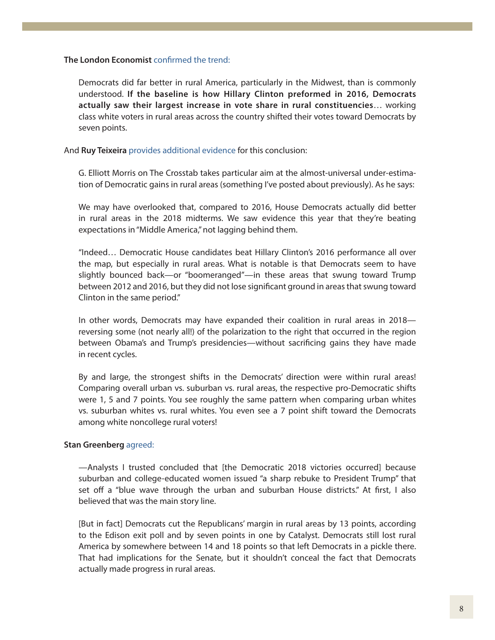#### **The London Economist** [confirmed the trend:](https://www.economist.com/united-states/2018/12/08/democrats-did-much-better-in-rural-america-than-you-think)

Democrats did far better in rural America, particularly in the Midwest, than is commonly understood. **If the baseline is how Hillary Clinton preformed in 2016, Democrats actually saw their largest increase in vote share in rural constituencies**… working class white voters in rural areas across the country shifted their votes toward Democrats by seven points.

And **Ruy Teixeira** [provides additional evidence](http://www.theoptimisticleftist.com/2018/11/correcting-record-on-2018-election.html) for this conclusion:

G. Elliott Morris on The Crosstab takes particular aim at the almost-universal under-estimation of Democratic gains in rural areas (something I've posted about previously). As he says:

We may have overlooked that, compared to 2016, House Democrats actually did better in rural areas in the 2018 midterms. We saw evidence this year that they're beating expectations in "Middle America," not lagging behind them.

"Indeed… Democratic House candidates beat Hillary Clinton's 2016 performance all over the map, but especially in rural areas. What is notable is that Democrats seem to have slightly bounced back—or "boomeranged"—in these areas that swung toward Trump between 2012 and 2016, but they did not lose significant ground in areas that swung toward Clinton in the same period."

In other words, Democrats may have expanded their coalition in rural areas in 2018 reversing some (not nearly all!) of the polarization to the right that occurred in the region between Obama's and Trump's presidencies—without sacrificing gains they have made in recent cycles.

By and large, the strongest shifts in the Democrats' direction were within rural areas! Comparing overall urban vs. suburban vs. rural areas, the respective pro-Democratic shifts were 1, 5 and 7 points. You see roughly the same pattern when comparing urban whites vs. suburban whites vs. rural whites. You even see a 7 point shift toward the Democrats among white noncollege rural voters!

## **Stan Greenberg** [agreed:](https://www.nytimes.com/2018/11/17/opinion/sunday/trump-is-beginning-to-lose-his-grip.html?rref=collection%2Fsectioncollection%2Fopinion&action=click&contentCollection=opinion®ion=stream&module=stream_unit&version=latest&contentPlacement=8&pgtype=sectionfront)

—Analysts I trusted concluded that [the Democratic 2018 victories occurred] because suburban and college-educated women issued "a sharp rebuke to President Trump" that set off a "blue wave through the urban and suburban House districts." At first, I also believed that was the main story line.

[But in fact] Democrats cut the Republicans' margin in rural areas by 13 points, according to the Edison exit poll and by seven points in one by Catalyst. Democrats still lost rural America by somewhere between 14 and 18 points so that left Democrats in a pickle there. That had implications for the Senate, but it shouldn't conceal the fact that Democrats actually made progress in rural areas.